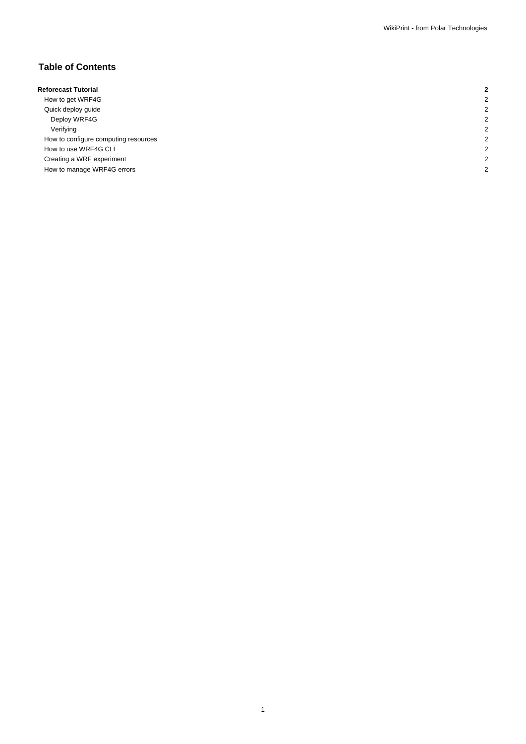# **Table of Contents**

| <b>Reforecast Tutorial</b>           |  |
|--------------------------------------|--|
| How to get WRF4G                     |  |
| Quick deploy guide                   |  |
| Deploy WRF4G                         |  |
| Verifying                            |  |
| How to configure computing resources |  |
| How to use WRF4G CLI                 |  |
| Creating a WRF experiment            |  |
| How to manage WRF4G errors           |  |
|                                      |  |